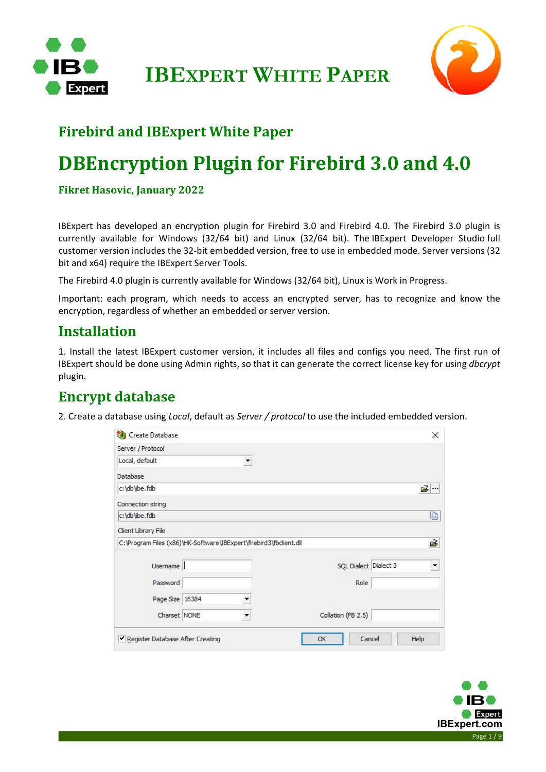



### **Firebird and IBExpert White Paper**

## **DBEncryption Plugin for Firebird 3.0 and 4.0**

#### **Fikret Hasovic, January 2022**

IBExpert has developed an encryption plugin for Firebird 3.0 and Firebird 4.0. The Firebird 3.0 plugin is currently available for Windows (32/64 bit) and Linux (32/64 bit). The IBExpert Developer Studio full customer version includes the 32‐bit embedded version, free to use in embedded mode. Server versions (32 bit and x64) require the IBExpert Server Tools.

The Firebird 4.0 plugin is currently available for Windows (32/64 bit), Linux is Work in Progress.

Important: each program, which needs to access an encrypted server, has to recognize and know the encryption, regardless of whether an embedded or server version.

### **Installation**

1. Install the latest IBExpert customer version, it includes all files and configs you need. The first run of IBExpert should be done using Admin rights, so that it can generate the correct license key for using *dbcrypt* plugin.

### **Encrypt database**

2. Create a database using *Local*, default as *Server / protocol* to use the included embedded version.

| Create Database                                                    | ×                          |
|--------------------------------------------------------------------|----------------------------|
| Server / Protocol                                                  |                            |
| Local, default                                                     | ▼                          |
| Database                                                           |                            |
| c:\db\ibe.fdb                                                      | ĉ.                         |
| Connection string                                                  |                            |
| c:\db\ibe.fdb                                                      | D                          |
| Client Library File                                                |                            |
| C:\Program Files (x86)\HK-Software\IBExpert\firebird3\fbclient.dll | ê                          |
| Username                                                           | SQL Dialect Dialect 3<br>▼ |
| Password                                                           | Role                       |
| Page Size 16384                                                    |                            |
| Charset NONE                                                       | Collation (FB 2.5)         |
| Register Database After Creating                                   | Cancel<br>OK<br>Help       |

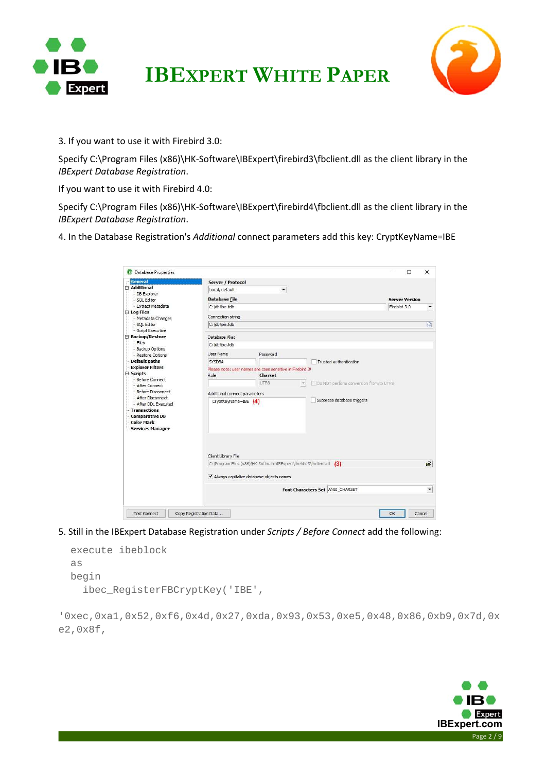



3. If you want to use it with Firebird 3.0:

Specify C:\Program Files (x86)\HK-Software\IBExpert\firebird3\fbclient.dll as the client library in the *IBExpert Database Registration*.

If you want to use it with Firebird 4.0:

Specify C:\Program Files (x86)\HK-Software\IBExpert\firebird4\fbclient.dll as the client library in the *IBExpert Database Registration*.

4. In the Database Registration's *Additional* connect parameters add this key: CryptKeyName=IBE

|                                          |                               |                                                                       |                                        | □                     | $\times$                 |  |
|------------------------------------------|-------------------------------|-----------------------------------------------------------------------|----------------------------------------|-----------------------|--------------------------|--|
| <b>General</b>                           | Server / Protocol             |                                                                       |                                        |                       |                          |  |
| Additional                               | Local, default                | $\blacktriangledown$                                                  |                                        |                       |                          |  |
| DB Explorer<br>-SQL Editor               | <b>Database File</b>          |                                                                       |                                        | <b>Server Version</b> |                          |  |
| Extract Metadata                         | C:\db\ibe.fdb                 |                                                                       |                                        | Firebird 3.0          | $\overline{\phantom{a}}$ |  |
| <b>E</b> -Log Files                      |                               |                                                                       |                                        |                       |                          |  |
| Metadata Changes                         | Connection string             |                                                                       |                                        |                       |                          |  |
| SQL Editor                               | C:\db\ibe.fdb                 |                                                                       |                                        |                       | $\mathbb{D}$             |  |
| Script Executive                         |                               |                                                                       |                                        |                       |                          |  |
| Backup/Restore                           | Database Alias                |                                                                       |                                        |                       |                          |  |
| Files                                    | C:\db\ibe.fdb                 |                                                                       |                                        |                       |                          |  |
| <b>Backup Options</b><br>Restore Options | <b>User Name</b>              | Password                                                              |                                        |                       |                          |  |
| Default paths                            | <b>SYSDBA</b>                 |                                                                       | Trusted authentication                 |                       |                          |  |
| <b>Explorer Filters</b>                  |                               | Please note: user names are case sensitive in Firebird 3!             |                                        |                       |                          |  |
| <b>⊟</b> -Scripts                        | Role                          | Charset                                                               |                                        |                       |                          |  |
| Before Connect                           |                               | UTF8                                                                  | Do NOT perform conversion from/to UTF8 |                       |                          |  |
| After Connect                            |                               |                                                                       |                                        |                       |                          |  |
| Before Disconnect<br>After Disconnect    | Additional connect parameters |                                                                       |                                        |                       |                          |  |
| After DDL Executed                       | $CryptKeyName = IBE (4)$      |                                                                       | Suppress database triggers             |                       |                          |  |
| -Transactions                            |                               |                                                                       |                                        |                       |                          |  |
| Comparative DB                           |                               |                                                                       |                                        |                       |                          |  |
| <b>Color Mark</b>                        |                               |                                                                       |                                        |                       |                          |  |
| - Services Manager                       |                               |                                                                       |                                        |                       |                          |  |
|                                          |                               |                                                                       |                                        |                       |                          |  |
|                                          |                               |                                                                       |                                        |                       |                          |  |
|                                          |                               |                                                                       |                                        |                       |                          |  |
|                                          | Client Library File           |                                                                       |                                        |                       |                          |  |
|                                          |                               | C:\Program Files (x86)\HK-Software\IBExpert\firebird3\fbclient.dl (3) |                                        |                       | õ                        |  |
|                                          |                               |                                                                       |                                        |                       |                          |  |
|                                          |                               | ↓ Always capitalize database objects names                            |                                        |                       |                          |  |
|                                          |                               |                                                                       |                                        |                       |                          |  |
|                                          |                               |                                                                       |                                        |                       | $\blacktriangledown$     |  |
|                                          |                               |                                                                       | Font Characters Set ANSI_CHARSET       |                       |                          |  |

5. Still in the IBExpert Database Registration under *Scripts / Before Connect* add the following:

| execute ibeblock               |  |
|--------------------------------|--|
| as                             |  |
| begin                          |  |
| ibec RegisterFBCryptKey('IBE', |  |

'0xec,0xa1,0x52,0xf6,0x4d,0x27,0xda,0x93,0x53,0xe5,0x48,0x86,0xb9,0x7d,0x e2,0x8f,

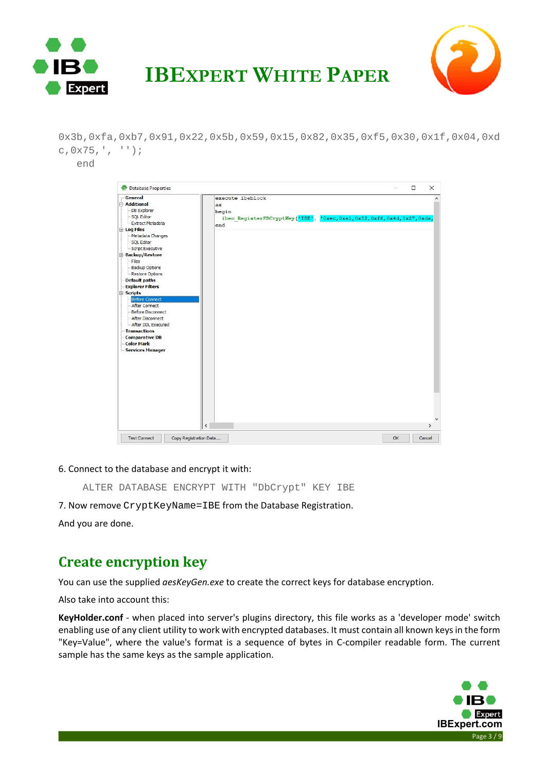



0x3b,0xfa,0xb7,0x91,0x22,0x5b,0x59,0x15,0x82,0x35,0xf5,0x30,0x1f,0x04,0xd c,0x75,', '');

end



#### 6. Connect to the database and encrypt it with:

ALTER DATABASE ENCRYPT WITH "DbCrypt" KEY IBE

7. Now remove CryptKeyName=IBE from the Database Registration.

And you are done.

### **Create encryption key**

You can use the supplied *aesKeyGen.exe* to create the correct keys for database encryption.

Also take into account this:

**KeyHolder.conf** ‐ when placed into server's plugins directory, this file works as a 'developer mode' switch enabling use of any client utility to work with encrypted databases. It must contain all known keys in the form "Key=Value", where the value's format is a sequence of bytes in C-compiler readable form. The current sample has the same keys as the sample application.

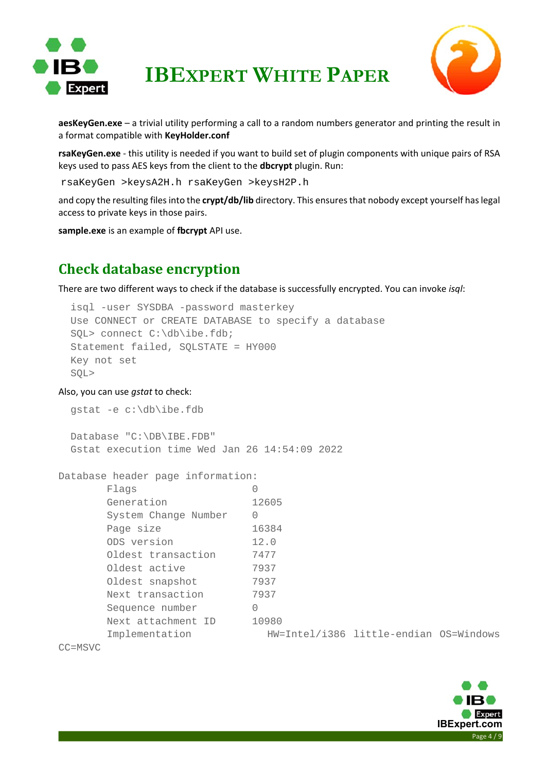



**aesKeyGen.exe** – a trivial utility performing a call to a random numbers generator and printing the result in a format compatible with **KeyHolder.conf**

**rsaKeyGen.exe** ‐ this utility is needed if you want to build set of plugin components with unique pairs of RSA keys used to pass AES keys from the client to the **dbcrypt** plugin. Run:

```
rsaKeyGen >keysA2H.h rsaKeyGen >keysH2P.h
```
and copy the resulting files into the **crypt/db/lib** directory. This ensures that nobody except yourself has legal access to private keys in those pairs.

**sample.exe** is an example of **fbcrypt** API use.

### **Check database encryption**

There are two different ways to check if the database is successfully encrypted. You can invoke *isql*:

```
 isql -user SYSDBA -password masterkey 
 Use CONNECT or CREATE DATABASE to specify a database 
 SQL> connect C:\db\ibe.fdb; 
 Statement failed, SQLSTATE = HY000 
 Key not set 
 SQL>
```
#### Also, you can use *gstat* to check:

```
 gstat -e c:\db\ibe.fdb 
 Database "C:\DB\IBE.FDB" 
 Gstat execution time Wed Jan 26 14:54:09 2022
```

```
Database header page information:
```

| Flags                |          |       |                                        |  |
|----------------------|----------|-------|----------------------------------------|--|
| Generation           |          | 12605 |                                        |  |
| System Change Number | 0        |       |                                        |  |
| Page size            |          | 16384 |                                        |  |
| ODS version          |          | 12.0  |                                        |  |
| Oldest transaction   |          | 7477  |                                        |  |
| Oldest active        |          | 7937  |                                        |  |
| Oldest snapshot      |          | 7937  |                                        |  |
| Next transaction     |          | 7937  |                                        |  |
| Sequence number      | $\Omega$ |       |                                        |  |
| Next attachment ID   |          | 10980 |                                        |  |
| Implementation       |          |       | HW=Intel/i386 little-endian OS=Windows |  |
|                      |          |       |                                        |  |

CC=MSVC

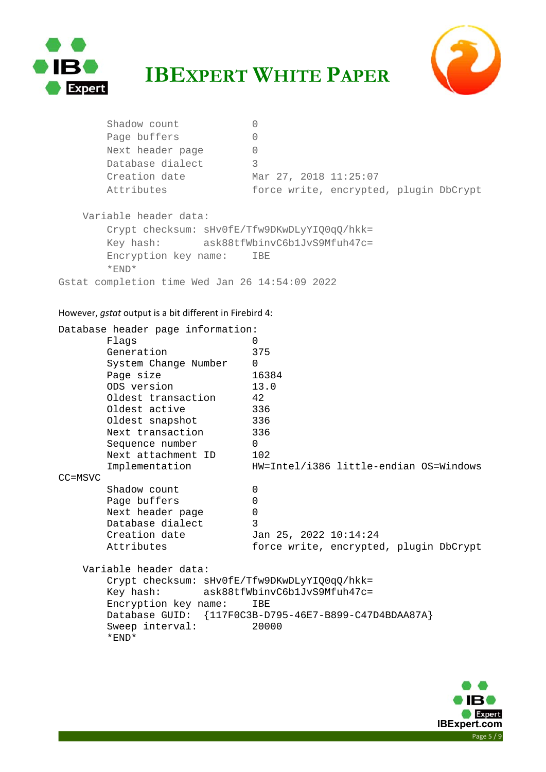



Shadow count 0 Page buffers 0 Next header page 0 Database dialect 3 Creation date Mar 27, 2018 11:25:07 Attributes force write, encrypted, plugin DbCrypt Variable header data: Crypt checksum: sHv0fE/Tfw9DKwDLyYIQ0qQ/hkk= Key hash: ask88tfWbinvC6b1JvS9Mfuh47c= Encryption key name: IBE \*END\* Gstat completion time Wed Jan 26 14:54:09 2022

#### However, *gstat* output is a bit different in Firebird 4:

|             | Database header page information:            |                                                       |
|-------------|----------------------------------------------|-------------------------------------------------------|
|             | Flags                                        | 0                                                     |
|             | Generation                                   | 375                                                   |
|             | System Change Number                         | $\Omega$                                              |
|             | Page size                                    | 16384                                                 |
|             | ODS version                                  | 13.0                                                  |
|             | Oldest transaction                           | 42                                                    |
|             | Oldest active                                | 336                                                   |
|             | Oldest snapshot                              | 336                                                   |
|             | Next transaction                             | 336                                                   |
|             | Sequence number                              | $\Omega$                                              |
|             | Next attachment ID                           | 102                                                   |
|             | Implementation                               | HW=Intel/i386 little-endian OS=Windows                |
| $CC = MSVC$ |                                              |                                                       |
|             | Shadow count                                 | 0                                                     |
|             | Page buffers                                 | $\Omega$                                              |
|             | Next header page                             | $\overline{0}$                                        |
|             | Database dialect                             | 3                                                     |
|             | Creation date                                | Jan 25, 2022 10:14:24                                 |
|             | Attributes                                   | force write, encrypted, plugin DbCrypt                |
|             | Variable header data:                        |                                                       |
|             | Crypt checksum: sHv0fE/Tfw9DKwDLyYIQ0qQ/hkk= |                                                       |
|             | Key hash:                                    | ask88tfWbinvC6b1JvS9Mfuh47c=                          |
|             | Encryption key name:                         | IBE                                                   |
|             |                                              | Database GUID: {117F0C3B-D795-46E7-B899-C47D4BDAA87A} |
|             | Sweep interval:<br>$*$ END $*$               | 20000                                                 |

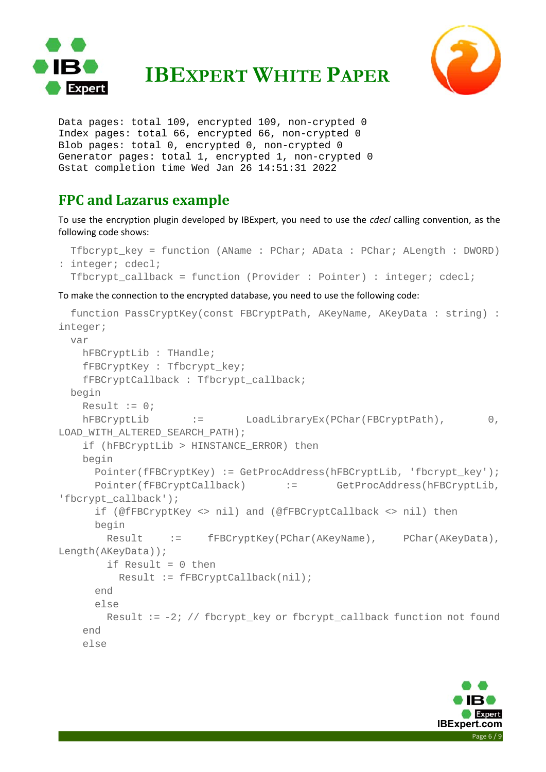



Data pages: total 109, encrypted 109, non-crypted 0 Index pages: total 66, encrypted 66, non-crypted 0 Blob pages: total 0, encrypted 0, non-crypted 0 Generator pages: total 1, encrypted 1, non-crypted 0 Gstat completion time Wed Jan 26 14:51:31 2022

### **FPC and Lazarus example**

To use the encryption plugin developed by IBExpert, you need to use the *cdecl* calling convention, as the following code shows:

```
 Tfbcrypt_key = function (AName : PChar; AData : PChar; ALength : DWORD) 
: integer; cdecl; 
 Tfbcrypt callback = function (Provider : Pointer) : integer; cdecl;
```
To make the connection to the encrypted database, you need to use the following code:

```
 function PassCryptKey(const FBCryptPath, AKeyName, AKeyData : string) : 
integer; 
  var 
    hFBCryptLib : THandle; 
    fFBCryptKey : Tfbcrypt_key; 
    fFBCryptCallback : Tfbcrypt_callback; 
  begin 
   Result := 0;hFBCryptLib := LoadLibraryEx(PChar(FBCryptPath), 0,
LOAD_WITH_ALTERED_SEARCH_PATH); 
    if (hFBCryptLib > HINSTANCE_ERROR) then 
    begin 
      Pointer(fFBCryptKey) := GetProcAddress(hFBCryptLib, 'fbcrypt_key');
       Pointer(fFBCryptCallback) := GetProcAddress(hFBCryptLib, 
'fbcrypt_callback'); 
       if (@fFBCryptKey <> nil) and (@fFBCryptCallback <> nil) then 
      begin 
       Result := fFBCryptKey(PChar(AKeyName), PChar(AKeyData),
Length(AKeyData)); 
         if Result = 0 then 
          Result := fFBCryptCallback(nil); 
       end 
      else 
       Result := -2; // fbcrypt key or fbcrypt callback function not found
    end 
    else
```
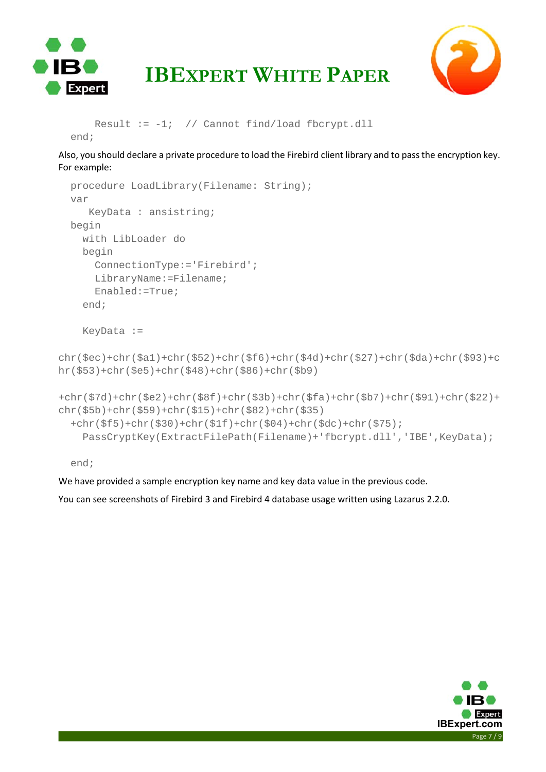



```
Result := -1; // Cannot find/load fbcrypt.dll
 end;
```
Also, you should declare a private procedure to load the Firebird client library and to pass the encryption key. For example:

```
 procedure LoadLibrary(Filename: String); 
   var 
      KeyData : ansistring; 
  begin 
     with LibLoader do 
     begin 
       ConnectionType:='Firebird'; 
       LibraryName:=Filename; 
       Enabled:=True; 
     end; 
     KeyData := 
chr($ec)+chr($a1)+chr($52)+chr($f6)+chr($4d)+chr($27)+chr($da)+chr($93)+c
hr($53)+chr($e5)+chr($48)+chr($86)+chr($b9) 
+chr($7d)+chr($e2)+chr($8f)+chr($3b)+chr($fa)+chr($b7)+chr($91)+chr($22)+
chr($5b)+chr($59)+chr($15)+chr($82)+chr($35) 
   +chr($f5)+chr($30)+chr($1f)+chr($04)+chr($dc)+chr($75); 
     PassCryptKey(ExtractFilePath(Filename)+'fbcrypt.dll','IBE',KeyData);
```
end;

We have provided a sample encryption key name and key data value in the previous code.

You can see screenshots of Firebird 3 and Firebird 4 database usage written using Lazarus 2.2.0.

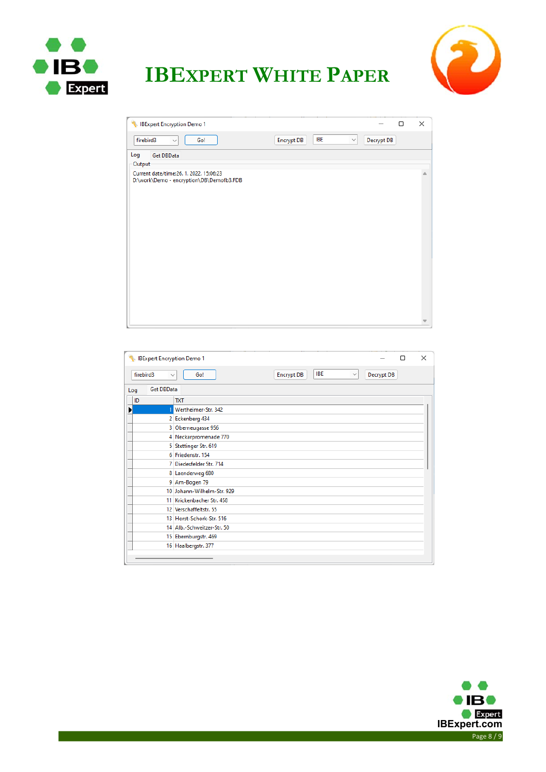



| IBExpert Encryption Demo 1                                                                                         |                   |                            |            | □ | ×           |
|--------------------------------------------------------------------------------------------------------------------|-------------------|----------------------------|------------|---|-------------|
| firebird3<br>Go!<br>$\checkmark$                                                                                   | <b>Encrypt DB</b> | <b>IBE</b><br>$\checkmark$ | Decrypt DB |   |             |
| Log<br>Get DBData<br>Output<br>Current date/time:26. 1. 2022. 15:06:23<br>D:\work\Demo - encryption\DB\Demofb3.FDB |                   |                            |            |   | $\triangle$ |
|                                                                                                                    |                   |                            |            |   |             |

| <b>IBExpert Encryption Demo 1</b> | $\times$<br>п                                                                        |
|-----------------------------------|--------------------------------------------------------------------------------------|
| firebird3                         | <b>IBE</b><br><b>Encrypt DB</b><br>Decrypt DB<br>Go!<br>$\checkmark$<br>$\checkmark$ |
| Get DBData<br>Log                 |                                                                                      |
| <b>ID</b>                         | <b>TXT</b>                                                                           |
| ▶                                 | Wertheimer-Str. 342                                                                  |
|                                   | 2 Eckenberg 434                                                                      |
|                                   | 3 Oberneugasse 956                                                                   |
|                                   | 4 Neckarpromenade 770                                                                |
|                                   | 5 Stettinger Str. 619                                                                |
|                                   | 6 Friedenstr, 154                                                                    |
|                                   | 7 Diedesfelder Str. 714                                                              |
|                                   | 8 Laenderweg 680                                                                     |
|                                   | 9 Am-Bogen 79                                                                        |
|                                   | 10 Johann-Wilhelm-Str. 929                                                           |
|                                   | 11 Krickenbacher Str. 458                                                            |
|                                   | 12 Verschaffeltstr, 55                                                               |
|                                   | 13 Horst-Schork-Str. 516                                                             |
|                                   | 14 Alb.-Schweitzer-Str. 50                                                           |
|                                   | 15 Ebernburgstr. 469                                                                 |
|                                   | 16 Haalbergstr. 377                                                                  |
|                                   |                                                                                      |